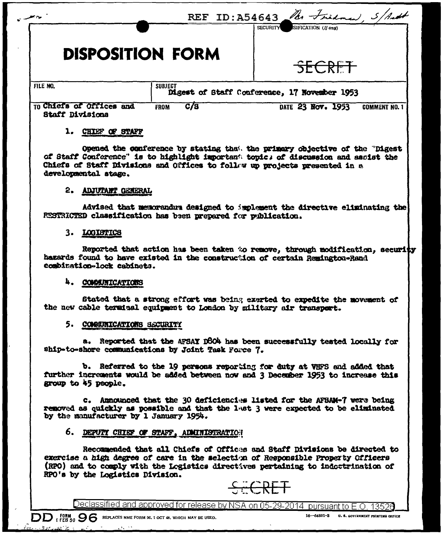|                                                    |                                            | SIFICATION (If any)<br><b>SECURITY</b>                        |
|----------------------------------------------------|--------------------------------------------|---------------------------------------------------------------|
| <b>DISPOSITION FORM</b><br>FILE NO.                | <b>SUBJECT</b>                             | <b>SECRET</b><br>Digest of Staff Conference, 17 November 1953 |
| TO Chiefs of Offices and<br><b>Staff Divisions</b> | $\overline{c}/\overline{a}$<br><b>FROM</b> | DATE 23 Nov. 1953<br><b>COMMENT NO. 1</b>                     |
| CHIEF OF STAFF<br>ı.                               |                                            |                                                               |

of Staff Conference" is to highlight important topic; of discussion and asoist the Chiefs of Staff Divisions and Offices to follow up projects presented in a developmental stage.

#### 2. ADJUTANT GENERAL

Advised that memorandum designed to implement the directive eliminating the RESTRICTED classification has been prepared for publication.

#### 3. LOGISTICS

Reported that action has been taken to remove, through modification, security hazards found to have existed in the construction of certain Reminaton-Rand combination-lock cabinets.

#### 4. COMMITTEATIONS

Stated that a strong effort was being exerted to expedite the movement of the new cable terminal equipment to London by military air transport.

#### 5. COMMITTIONS SECURITY

a. Reported that the AFSAY DSO4 has been successfully tested locally for ship-to-shore communications by Joint Task Force 7.

b. Referred to the 19 persons reporting for duty at VHFS and added that further increments would be added between now and 3 December 1953 to increase this group to 45 people.

c. Announced that the 30 deficiencies listed for the AFSAM-7 were being removed as quickly as possible and that the last 3 were expected to be eliminated by the manufacturer by 1 January 1954.

#### 6. DEPUTI CHIEF OF STAFF, ADMINISTRATION

Recommended that all Chiefs of Offices and Staff Divisions be directed to exercise a high degree of care in the selection of Responsible Property Officers (RPO) and to comply with the Logistics directives pertaining to indoctrination of RPO's by the Logistics Division.



Declassified and approved for release by NSA on 05-29-2014 pursuant to E.O. 13526

 $\overline{DD}$  (FEB 50  $\overline{SS}$  REPLACES NME FORM 96, 1 OCT 48, WHICH MAY BE USED.

16-64801-3 U.S. GOVERNMENT PRINTING OFFICE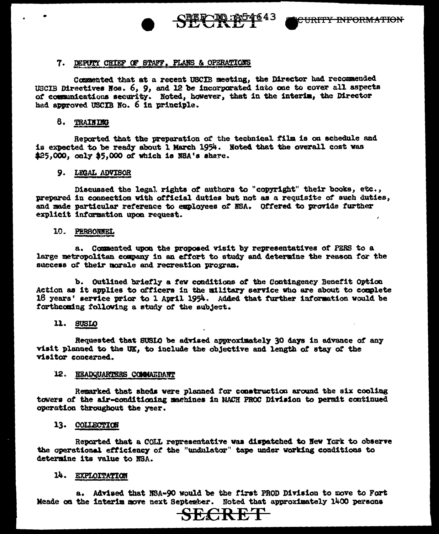

### 7. DEPUTY CHIEF OF STAFF. PLANS & OPERATIONS

Commented that at a recent USCIB meeting, the Director had recommended USCIB Directives Nos. 6, 9, and 12 be incorporated into one to cover all aspects of communications security. Noted, however, that in the interim, the Director had approved USCIB No. 6 in principle.

#### 8. TRAINING

Reported that the preparation of the technical film is on schedule and is expected to be ready about 1 March 1954. Noted that the overall cost was \$25,000, only \$5,000 of which is NSA's share.

#### 9. LEGAL ADVISOR

Discussed the legal rights of authors to "copyright" their books, etc., prepared in connection with official duties but not as a requisite of such duties. and made particular reference to employees of NSA. Offered to provide further explicit information upon request.

#### 10. PERSONNEL

a. Commented upon the proposed visit by representatives of PERS to a large metropolitan company in an effort to study and determine the reason for the success of their morale and recreation program.

b. Outlined briefly a few conditions of the Contingency Benefit Option Action as it applies to officers in the military service who are about to complete 18 years' service prior to 1 April 1954. Added that further information would be forthcoming following a study of the subject.

# 11. SUSLO

Requested that SUSIO be advised approximately 30 days in advance of any visit planned to the UK, to include the objective and length of stav of the visitor concerned.

# 12. HEADQUARTERS COMMANDANT

Remarked that sheds were planned for construction around the six cooling towers of the air-conditioning maghines in NACH PROC Division to permit continued operation throughout the year.

# 13. COLLECTION

Reported that a COLL representative was dispatched to New York to observe the operational efficiency of the "undulator" tape under working conditions to determine its value to NSA.

# 14. EXPLOITATION

a. Advised that NSA-90 would be the first PROD Division to move to Fort Meade on the interim move next September. Noted that approximately 1400 persons

# **FECRET**